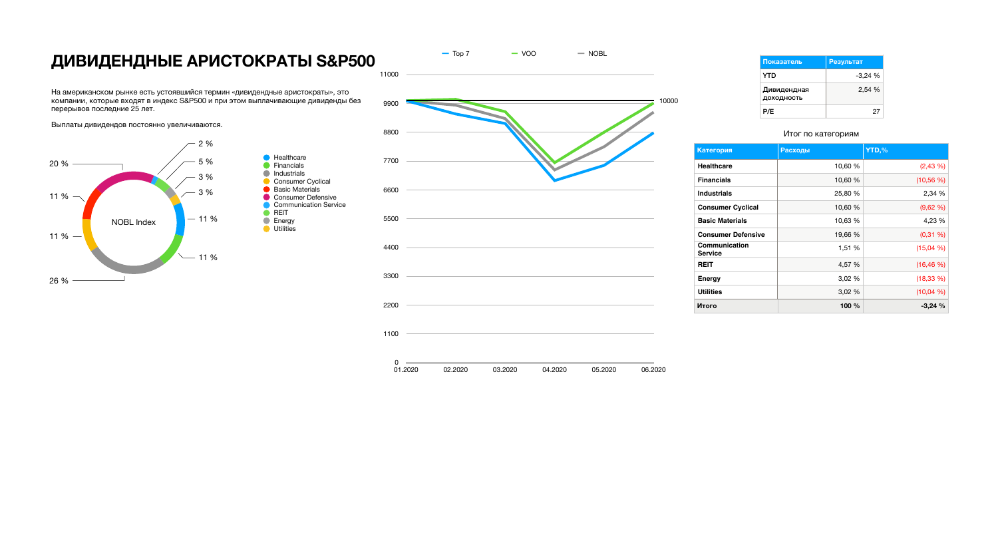# **ДИВИДЕНДНЫЕ АРИСТОКРАТЫ S&P500 ПОРАЗ ВИВИДЕНДНЫЕ**

На американском рынке есть устоявшийся термин «дивидендные аристократы», это компании, которые входят в индекс S&P500 и при этом выплачивающие дивиденды без перерывов последние 25 лет.

Выплаты дивидендов постоянно увеличиваются.

#### Итог по категориям

| Категория                       | <b>Расходы</b> | YTD,%        |
|---------------------------------|----------------|--------------|
| <b>Healthcare</b>               | 10,60 %        | $(2,43\%)$   |
| <b>Financials</b>               | 10,60 %        | $(10,56\%)$  |
| <b>Industrials</b>              | 25,80 %        | 2,34 %       |
| <b>Consumer Cyclical</b>        | 10,60 %        | (9,62,%)     |
| <b>Basic Materials</b>          | 10,63 %        | 4,23 %       |
| <b>Consumer Defensive</b>       | 19,66 %        | $(0,31\%)$   |
| Communication<br><b>Service</b> | 1,51 %         | (15,04%      |
| <b>REIT</b>                     | 4,57 %         | (16, 46%)    |
| <b>Energy</b>                   | 3,02 %         | (18, 33, 96) |
| <b>Utilities</b>                | 3,02%          | (10,04,96)   |
| Итого                           | 100 %          | $-3,24%$     |





| Показатель                | Результат |
|---------------------------|-----------|
| YTD                       | -3,24 %   |
| Дивидендная<br>ДОХОДНОСТЬ | 2,54%     |
| P/E                       | 27        |



10000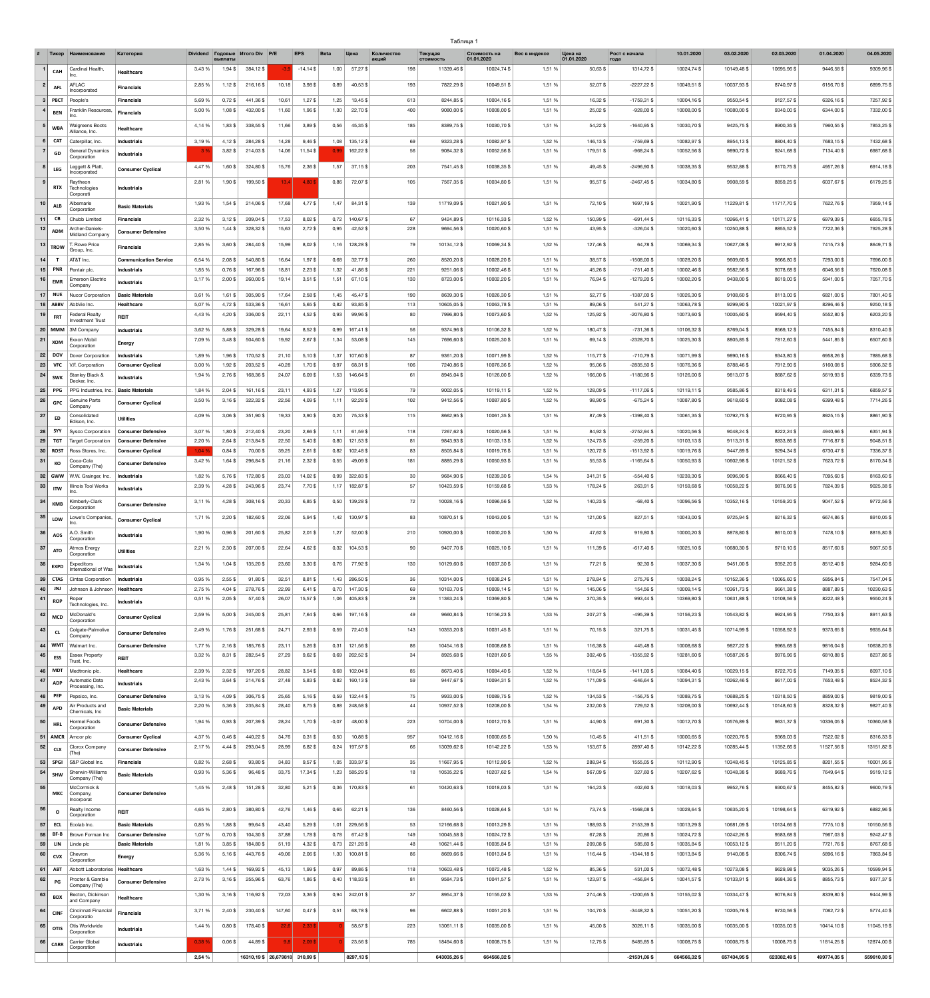| Таблица ∶ |  |
|-----------|--|
|-----------|--|

|                  | Тикер                                                                         | <b>Наименовани</b>                                    | Категория                                             | <b>Dividend</b>  | Годовые<br>выплать     | <b><i>MTOFO Div</i></b> P/E     |                | <b>EPS</b>             | <b>Beta</b>  | Цена                          | Количество<br>акций  | Текущая<br><b>СТОИМОСТЬ</b> | Стоимость на<br>01.01.2020 | Вес в индексе    | Цена на<br>01.01.2020  | Рост с начала<br>года          | 10.01.2020                 | 03.02.2020                 | 02.03.2020                | 01.04.2020              | 04.05.2020               |
|------------------|-------------------------------------------------------------------------------|-------------------------------------------------------|-------------------------------------------------------|------------------|------------------------|---------------------------------|----------------|------------------------|--------------|-------------------------------|----------------------|-----------------------------|----------------------------|------------------|------------------------|--------------------------------|----------------------------|----------------------------|---------------------------|-------------------------|--------------------------|
|                  | <b>CAH</b>                                                                    | <b>Cardinal Health</b><br>Inc.                        | <b>Healthcare</b>                                     | 3,43 %           | $1,94$ \$              | 384,12\$                        |                | $-14,14$ \$            | 1,00         | $57,27$ \$                    | 198                  | 11339,46 \$                 | 10024,74 \$                | 1,51 %           | 50,63\$                | 1314,72 \$                     | 10024,74 \$                | 10149,48 \$                | 10695,96 \$               | 9446,58 \$              | 9309,96 \$               |
| $2 \mid$         | <b>AFL</b>                                                                    | AFLAC                                                 | <b>Financials</b>                                     | 2,85 %           | $1,12$ \$              | 216,16\$                        | 10,18          | $3,98$ \$              | 0,89         | 40,53 \$                      | 193                  | 7822,29 \$                  | 10049,51 \$                | 1,51 %           | 52,07\$                | $-2227,22$ \$                  | 10049,51 \$                | 10037,93 \$                | 8740,97\$                 | 6156,70\$               | 6899,75 \$               |
|                  | $3$ PBCT                                                                      | Incorporated<br>People's                              | <b>Financials</b>                                     | 5,69 %           | $0,72$ \$              | 441,36 \$                       | 10,61          | $1,27$ \$              | 1,25         | 13,45 \$                      | 613                  | 8244,85\$                   | 10004,16\$                 | 1,51 %           | 16,32\$                | $-1759,31$ \$                  | 10004,16\$                 | 9550,54 \$                 | 9127,57\$                 | 6326,16\$               | 7257,92 \$               |
|                  | <b>BEN</b>                                                                    | Franklin Resources,<br>Inc.                           | <b>Financials</b>                                     | 5,00 %           | $1,08$ \$              | 432,00 \$                       | 11,60          | 1,96\$                 | 1,30         | 22,70\$                       | 400                  | 9080,00\$                   | 10008,00\$                 | 1,51 %           | 25,02\$                | $-928,00$ \$                   | 10008,00\$                 | 10080,00 \$                | 9340,00\$                 | 6344,00\$               | 7332,00 \$               |
|                  | WBA                                                                           | <b>Walgreens Boots</b>                                | <b>Healthcare</b>                                     | 4,14 %           | 1,83\$                 | 338,55 \$                       | 11,66          | $3,89$ \$              | 0,56         | 45,35\$                       | 185                  | 8389,75\$                   | 10030,70\$                 | 1,51 %           | 54,22\$                | $-1640,95$ \$                  | 10030,70\$                 | 9425,75 \$                 | 8900,35\$                 | 7960,55\$               | 7853,25                  |
|                  | <b>CAT</b>                                                                    | Alliance, Inc.<br>Caterpillar, Inc.                   | <b>Industrials</b>                                    | 3,19 %           | $4,12$ \$              | 284,28                          | 14,28          | $9,46$ \$              | 1,08         | 135,12\$                      | 69                   | 9323,28 \$                  | 10082,97\$                 | 1,52 %           | 146,13\$               | $-759,69$ \$                   | 10082,97\$                 | 8954,13\$                  | 8804,40\$                 | 7683,15\$               | 7432,68 \$               |
|                  | GD                                                                            | General Dynamics<br>Corporation                       | <b>Industrials</b>                                    |                  | $3,82$ \$              | 214,03\$                        | 14,06          | 11,54 \$               | 0,99         | 162,22\$                      | 56                   | 9084,32\$                   | 10052,56 \$                | 1,51 %           | 179,51 \$              | $-968,24$ \$                   | 10052,56 \$                | 9890,72\$                  | 9241,68\$                 | 7134,40 \$              | 6987,68 \$               |
|                  | <b>LEG</b>                                                                    | Leggett & Platt,                                      | <b>Consumer Cyclical</b>                              | 4,47 %           | 1,60\$                 | 324,80 \$                       | 15,76          | $2,36$ \$              | 1,57         | 37,15\$                       | 203                  | 7541,45 \$                  | 10038,35 \$                | 1,51 %           | 49,45\$                | $-2496,90$ \$                  | 10038,35 \$                | 9532,88 \$                 | 8170,75\$                 | 4957,26\$               | 6914,18 \$               |
|                  |                                                                               | Incorporated<br>Raytheon                              |                                                       | 2,81 %           | 1,90\$                 | 199,50 \$                       | 13,4           | 4,80\$                 | 0,86         | 72,07\$                       | 105                  | 7567,35 \$                  | 10034,80 \$                | 1,51 %           | 95,57\$                | $-2467,45$ \$                  | 10034,80 \$                | 9908,59 \$                 | 8859,25\$                 | 6037,67\$               | 6179,25\$                |
|                  | <b>RTX</b>                                                                    | Technologies<br>Corporati                             | <b>Industrials</b>                                    |                  |                        |                                 |                |                        |              |                               |                      |                             |                            |                  |                        |                                |                            |                            |                           |                         |                          |
| 10               | <b>ALB</b>                                                                    | Albemarle<br>Corporation                              | <b>Basic Materials</b>                                | 1,93 %           | $1,54$ \$              | 214,06\$                        | 17,68          | 4,77\$                 | 1,47         | 84,31\$                       | 139                  | 11719,09 \$                 | 10021,90\$                 | 1,51 %           | 72,10\$                | 1697,19 \$                     | 10021,90 \$                | 11229,81 \$                | 11717,70\$                | 7622,76 \$              | 7959,14\$                |
| 11               | CB                                                                            | Chubb Limited                                         | <b>Financials</b>                                     | 2,32 %           | $3,12$ \$              | 209,04 \$                       | 17,53          | $8,02$ \$              | 0,72         | 140,67\$                      | 67                   | 9424,89\$                   | 10116,33 \$                | 1,52 %           | 150,99\$               | $-691,44$ \$                   | 10116,33 \$                | 10266,41 \$                | 10171,27\$                | 6979,39\$               | 6655,78 \$               |
|                  | $\begin{array}{ c c c }\n\hline\n & 12 & \text{ADM} \\ \hline\n\end{array}$   | Archer-Daniels-<br>Midland Company                    | <b>Consumer Defensive</b>                             | 3,50 %           | $1,44$ \$              | 328,32 \$                       | 15,63          | $2,72$ \$              | 0,95         | 42,52 \$                      | 228                  | 9694,56\$                   | 10020,60 \$                | 1,51 %           | 43,95 \$               | $-326,04$ \$                   | 10020,60 \$                | 10250,88 \$                | 8855,52 \$                | 7722,36\$               | 7925,28 \$               |
|                  | $\begin{array}{ c c c }\n\hline\n & 13 & \text{TROW} & \end{array}$           | T. Rowe Price<br>Group, Inc.                          | <b>Financials</b>                                     | 2,85 %           | $3,60$ \$              | 284,40 \$                       | 15,99          | $8,02$ \$              | 1,16         | 128,28\$                      | 79                   | 10134,12 \$                 | 10069,34 \$                | 1,52 %           | 127,46 \$              | 64,78 \$                       | 10069,34 \$                | 10627,08 \$                | 9912,92\$                 | 7415,73 \$              | 8649,71 \$               |
| 14               |                                                                               | AT&T Inc.                                             | <b>Communication Service</b>                          | 6,54 %           | $2,08$ \$              | 540,80\$                        | 16,64          | $1,97$ \$              | 0,68         | 32,77\$                       | 260                  | 8520,20\$                   | 10028,20\$                 | 1,51 %           | 38,57\$                | $-1508,00$ \$                  | 10028,20\$                 | 9609,60\$                  | 9666,80\$                 | 7293,00\$               | 7696,00 \$               |
| 15 <br>$16 \mid$ | <b>PNR</b>                                                                    | Pentair plc.<br><b>Emerson Electric</b>               | <b>Industrials</b>                                    | 1,85 %<br>3,17%  | $0,76$ \$<br>$2,00$ \$ | 167,96\$<br>260,00\$            | 18,81<br>19,14 | $2,23$ \$<br>$3,51$ \$ | 1,32<br>1,51 | 41,86\$<br>67,10\$            | 221<br>130           | 9251,06\$<br>8723,00\$      | 10002,46 \$<br>10002,20\$  | 1,51 %<br>1,51 % | 45,26\$<br>76,94\$     | $-751,40$ \$<br>$-1279,20$ \$  | 10002,46 \$<br>10002,20\$  | 9582,56 \$<br>9438,00\$    | 9078,68\$<br>8619,00\$    | 6046,56 \$<br>5941,00\$ | 7620,08 \$<br>7057,70 \$ |
|                  | <b>EMR</b>                                                                    | Company                                               | <b>Industrials</b>                                    |                  |                        |                                 |                |                        |              |                               |                      |                             |                            |                  |                        |                                |                            |                            |                           |                         |                          |
|                  | <b>NUE</b><br>$18$ ABBV                                                       | Nucor Corporation<br>AbbVie Inc.                      | <b>Basic Materials</b><br>Healthcare                  | 3,61 %<br>5,07 % | $1,61$ \$<br>4,72\$    | 305,90 \$<br>533,36 \$          | 17,64<br>16,61 | 2,58 \$<br>$5,65$ \$   | 1,45<br>0,82 | 45,47\$<br>93,85\$            | 190<br>113           | 8639,30\$<br>10605,05 \$    | 10026,30 \$<br>10063,78 \$ | 1,51 %<br>1,51 % | 52,77\$<br>89,06\$     | $-1387,00$ \$<br>541,27\$      | 10026,30\$<br>10063,78 \$  | 9108,60\$<br>9299,90\$     | 8113,00\$<br>10021,97\$   | 6821,00\$<br>8296,46\$  | 7801,40 \$<br>9250,18\$  |
| 19               | <b>FRT</b>                                                                    | <b>Federal Realty</b><br><b>Investment Trust</b>      | <b>REIT</b>                                           | 4,43 %           | 4,20\$                 | 336,00\$                        | 22,11          | 4,52 \$                | 0,93         | 99,96\$                       | 80                   | 7996,80 \$                  | 10073,60 \$                | 1,52 %           | 125,92 \$              | $-2076,80$ \$                  | 10073,60 \$                | 10005,60 \$                | 9594,40 \$                | 5552,80 \$              | 6203,20\$                |
|                  |                                                                               | 20 MMM 3M Company                                     | <b>Industrials</b>                                    | 3,62 %           | 5,88\$                 | 329,28\$                        | 19,64          | 8,52 \$                | 0,99         | 167,41 \$                     | 56                   | 9374,96\$                   | 10106,32 \$                | 1,52 %           | 180,47\$               | $-731,36$ \$                   | 10106,32 \$                | 8769,04\$                  | 8569,12\$                 | 7455,84 \$              | 8310,40\$                |
| 21               | <b>XOM</b>                                                                    | <b>Exxon Mobil</b><br>Corporation                     | <b>Energy</b>                                         | 7,09 %           | $3,48$ \$              | 504,60\$                        | 19,92          | $2,67$ \$              | 1,34         | 53,08\$                       | 145                  | 7696,60\$                   | 10025,30 \$                | 1,51 %           | 69,14\$                | $-2328,70$ \$                  | 10025,30 \$                | 8805,85 \$                 | 7812,60\$                 | 5441,85 \$              | 6507,60\$                |
|                  | $22$ DOV                                                                      | Dover Corporation                                     | <b>Industrials</b>                                    | 1,89 %           | 1,96\$                 | 170,52 \$                       | 21,10          | $5,10$ \$              | 1,37         | 107,60\$                      | 87                   | 9361,20\$                   | 10071,99 \$                | 1,52 %           | 115,77\$               | $-710,79$ \$                   | 10071,99 \$                | 9890,16\$                  | 9343,80 \$                | 6958,26\$               | 7885,68 \$               |
|                  | $23$ VFC<br>$24$ SWK                                                          | V.F. Corporation<br>Stanley Black &                   | <b>Consumer Cyclical</b>                              | 3,00 %<br>1,94 % | $1,92$ \$<br>$2,76$ \$ | 203,52 \$<br>168,36\$           | 40,28<br>24,07 | $1,70$ \$<br>$6,09$ \$ | 0,97<br>1,53 | 68,31\$<br>146,64\$           | 106<br>61            | 7240,86\$<br>8945,04\$      | 10076,36\$<br>10126,00 \$  | 1,52 %<br>1,52 % | 95,06\$<br>166,00\$    | $-2835,50$ \$<br>$-1180,96$ \$ | 10076,36\$<br>10126,00\$   | 8788,46\$<br>9813,07\$     | 7912,90\$<br>8687,62\$    | 5160,08\$<br>5619,93\$  | 5906,32\$<br>6339,73\$   |
|                  | <b>PPG</b>                                                                    | Decker, Inc.<br>PPG Industries, Inc.                  | <b>Industrials</b>                                    |                  |                        |                                 |                |                        |              |                               |                      |                             |                            | 1,52 %           |                        |                                |                            |                            |                           |                         | 6859,57\$                |
| 25 <br>26        | <b>GPC</b>                                                                    | <b>Genuine Parts</b>                                  | <b>Basic Materials</b><br><b>Consumer Cyclical</b>    | 1,84 %<br>3,50 % | $2,04$ \$<br>$3,16$ \$ | 161,16\$<br>322,32 \$           | 23,11<br>22,56 | 4,93 \$<br>4,09\$      | 1,27<br>1,11 | 113,95\$<br>$92,28$ \$        | 79<br>102            | 9002,05\$<br>9412,56 \$     | 10119,11 \$<br>10087,80 \$ | 1,52 %           | 128,09\$<br>98,90\$    | $-1117,06$ \$<br>$-675,24$ \$  | 10119,11 \$<br>10087,80 \$ | 9585,86\$<br>9618,60 \$    | 8319,49 \$<br>9082,08\$   | 6311,31 \$<br>6399,48\$ | 7714,26\$                |
| 27               |                                                                               | Company<br>Consolidated                               |                                                       | 4,09 %           | $3,06$ \$              | 351,90\$                        | 19,33          | $3,90$ \$              | 0,20         | 75,33\$                       | 115                  | 8662,95 \$                  | 10061,35 \$                | 1,51 %           | 87,49\$                | $-1398,40$ \$                  | 10061,35 \$                | 10792,75 \$                | 9720,95 \$                | 8925,15\$               | 8861,90\$                |
| 28               | ED<br><b>SYY</b>                                                              | Edison, Inc.<br><b>Sysco Corporation</b>              | <b>Utilities</b><br><b>Consumer Defensive</b>         | 3,07 %           | 1,80\$                 | 212,40\$                        | 23,20          | $2,66$ \$              | 1,11         | 61,59\$                       | 118                  | 7267,62 \$                  | 10020,56 \$                | 1,51 %           | 84,92\$                | $-2752,94$ \$                  | 10020,56\$                 | 9048,24\$                  | 8222,24\$                 | 4940,66\$               | 6351,94 \$               |
| 29               | <b>TGT</b>                                                                    | <b>Target Corporation</b>                             | <b>Consumer Defensive</b>                             | 2,20 %           | $2,64$ \$              | 213,84 \$                       | 22,50          | 5,40\$                 | 0,80         | 121,53 \$                     | 81                   | 9843,93\$                   | 10103,13 \$                | 1,52 %           | 124,73 \$              | $-259,20$ \$                   | 10103,13\$                 | 9113,31 \$                 | 8833,86\$                 | 7716,87\$               | 9048,51 \$               |
|                  | $30$ ROST                                                                     | Ross Stores, Inc.                                     | <b>Consumer Cyclical</b>                              | 1,04,9           | $0,84$ \$              | 70,00\$                         | 39,25          | $2,61$ \$              | 0,82         | 102,48 \$                     | 83                   | 8505,84\$                   | 10019,76 \$                | 1,51 %           | 120,72 \$              | $-1513,92$ \$                  | 10019,76 \$                | 9447,89 \$                 | 9294,34\$                 | 6730,47\$               | 7336,37\$                |
| 31               | <b>KO</b>                                                                     | Coca-Cola<br>Company (The)                            | <b>Consumer Defensive</b>                             | 3,42 %           | $1,64$ \$              | 296,84\$                        | 21,16          | $2,32$ \$              | 0,55         | 49,09\$                       | 181                  | 8885,29\$                   | 10050,93 \$                | 1,51 %           | 55,53\$                | $-1165,64$ \$                  | 10050,93 \$                | 10602,98 \$                | 10121,52 \$               | 7623,72\$               | 8170,34\$                |
| 33               |                                                                               | 32   GWW   W.W. Grainger, Inc.<br>Illinois Tool Works | <b>Industrials</b>                                    | 1,82 %<br>2,39 % | 5,76\$<br>$4,28$ \$    | 172,80\$<br>$243,96$ \$         | 23,03<br>23,74 | 14,02\$<br>$7,70$ \$   | 0,99         | 322,83 \$<br>$1,17$ 182,87 \$ | 30                   | 9684,90\$<br>10423,59 \$    | 10239,30 \$<br>10159,68 \$ | 1,54 %<br>1,53 % | 341,31 \$<br>178,24 \$ | $-554,40$ \$<br>263,91 \$      | 10239,30 \$<br>10159,68 \$ | 9096,90\$<br>10058,22\$    | 8666,40\$<br>9876,96\$    | 7095,60 \$<br>7824,39\$ | 8163,60\$<br>9025,38 \$  |
|                  | <b>ITW</b>                                                                    | Inc.                                                  | <b>Industrials</b>                                    |                  |                        |                                 |                |                        |              |                               |                      |                             |                            |                  |                        |                                |                            |                            |                           |                         |                          |
| 34               | KMB                                                                           | Kimberly-Clark<br>Corporation                         | <b>Consumer Defensive</b>                             | 3,11%            | 4,28\$                 | 308,16\$                        | 20,33          | $6,85$ \$              | 0,50         | 139,28\$                      | 72                   | 10028,16\$                  | 10096,56 \$                | 1,52 %           | 140,23 \$              | $-68,40$ \$                    | 10096,56\$                 | 10352,16\$                 | 10159,20\$                | 9047,52 \$              | 9772,56 \$               |
|                  | $\begin{array}{ c c c }\n\hline\n & 35 & \text{LOW} & \text{UV}\n\end{array}$ | Lowe's Companies,<br>Inc.                             | <b>Consumer Cyclical</b>                              | 1,71 %           | $2,20$ \$              | 182,60\$                        | 22,06          | 5,94\$                 | 1,42         | 130,97\$                      | 83                   | 10870,51 \$                 | 10043,00 \$                | 1,51 %           | 121,00\$               | 827,51 \$                      | 10043,00 \$                | 9725,94\$                  | 9216,32\$                 | 6674,86\$               | 8910,05\$                |
| 36               | <b>AOS</b>                                                                    | A.O. Smith<br>Corporation                             | <b>Industrials</b>                                    | 1,90 %           | $0,96$ \$              | 201,60\$                        | 25,82          | $2,01$ \$              | 1,27         | 52,00\$                       | 210                  | 10920,00\$                  | 10000,20\$                 | 1,50 %           | 47,62 \$               | 919,80\$                       | 10000,20\$                 | 8878,80\$                  | 8610,00\$                 | 7478,10\$               | 8815,80\$                |
| 37               | <b>ATO</b>                                                                    | Atmos Energy<br>Corporation                           | <b>Utilities</b>                                      | 2,21 %           | $2,30$ \$              | 207,00\$                        | 22,64          | $4,62$ \$              | 0,32         | 104,53 \$                     | 90                   | 9407,70\$                   | 10025,10\$                 | 1,51 %           | 111,39 \$              | $-617,40$ \$                   | 10025,10\$                 | 10680,30\$                 | 9710,10\$                 | 8517,60\$               | 9067,50 \$               |
| 38               |                                                                               | <b>EXPD</b> Expeditors<br>International of Was        | <b>Industrials</b>                                    | 1,34 %           | $1,04$ \$              | 135,20\$                        | 23,60          | $3,30$ \$              | 0,76         | 77,92 \$                      | 130                  | 10129,60 \$                 | 10037,30 \$                | 1,51 %           | 77,21 \$               | 92,30\$                        | 10037,30 \$                | 9451,00\$                  | 9352,20\$                 | 8512,40 \$              | 9284,60 \$               |
| 39               | <b>CTAS</b>                                                                   | <b>Cintas Corporation</b>                             | Industrials                                           | 0,95 %           | $2,55$ \$              | 91,80\$                         | 32,51          | 8,81\$                 | 1,43         | 286,50 \$                     | 36                   | 10314,00 \$                 | 10038,24 \$                | 1,51 %           | 278,84 \$              | 275,76 \$                      | 10038,24 \$                | 10152,36 \$                | 10065,60 \$               | 5856,84\$               | 7547,04 \$               |
| 40               | JNJ                                                                           | Johnson & Johnson                                     | Healthcare                                            | 2,75 %           | $4,04$ \$              | 278,76\$                        | 22,99          | $6,41$ \$              | 0,70         | 147,30\$                      | 69                   | 10163,70 \$                 | 10009,14\$                 | 1,51 %           | 145,06 \$              | 154,56 \$                      | 10009,14\$                 | 10361,73 \$                | 9661,38 \$                | 8887,89\$               | 10230,63 \$              |
| 41               | <b>ROP</b>                                                                    | Roper<br>Technologies, Inc.                           | <b>Industrials</b>                                    | 0,51%            | $2,05$ \$              | 57,40\$                         | 26,07          | 15,57\$                | 1,06         | 405,83 \$                     | 28                   | 11363,24 \$                 | 10369,80 \$                | 1,56 %           | 370,35 \$              | 993,44 \$                      | 10369,80 \$                | 10631,88 \$                | 10108,56\$                | 8222,48\$               | 9550,24\$                |
|                  | $\left  \begin{array}{c} 42 \\ \text{MCD} \end{array} \right $ iv             | McDonald's<br>Corporation                             | <b>Consumer Cyclical</b>                              | 2,59 %           | $5,00$ \$              | 245,00 \$                       | 25,81          | 7,64\$                 | 0,66         | 197,16\$                      | 49                   | 9660,84 \$                  | 10156,23 \$                | 1,53 %           | 207,27\$               | $-495,39$ \$                   | 10156,23\$                 | 10543,82 \$                | 9924,95\$                 | 7750,33\$               | 8911,63\$                |
| 43               |                                                                               | <b>CL</b> Colgate-Palmolive<br>Company                | <b>Consumer Defensive</b>                             | 2,49 %           | $1,76$ \$              | 251,68 \$                       | 24,71          | $2,93$ \$              | 0,59         | 72,40 \$                      | 143                  | 10353,20 \$                 | 10031,45 \$                | 1,51 %           | 70,15\$                | 321,75 \$                      | 10031,45 \$                | 10714,99 \$                | 10358,92 \$               | 9373,65 \$              | 9935,64\$                |
|                  |                                                                               | 44   WMT   Walmart Inc.                               | <b>Consumer Defensive</b>                             | 1,77 %           | $2,16$ \$              | 185,76\$                        | 23,11          | $5,26$ \$              | 0,31         | 121,56 \$                     | 86                   | 10454,16 \$                 | 10008,68 \$                | 1,51 %           | 116,38 \$              | 445,48 \$                      | 10008,68 \$                | 9827,22\$                  | 9965,68\$                 | 9816,04\$               | 10638,20 \$              |
| 45               | <b>ESS</b>                                                                    | <b>Essex Property</b><br>Trust, Inc.                  | <b>REIT</b>                                           | 3,32 %           | $8,31$ \$              | 282,54 \$                       | 27,29          | $9,62$ \$              | 0,69         | 262,52 \$                     | 34                   | 8925,68 \$                  | 10281,60 \$                | 1,55 %           | 302,40 \$              | $-1355,92$ \$                  | 10281,60 \$                | 10587,26 \$                | 9976,96\$                 | 6810,88\$               | 8237,86\$                |
| $-47$            | $46$ MDT                                                                      | Medtronic plc.<br>Automatic Data                      | <b>Healthcare</b>                                     | 2,39 %<br>2,43 % | $2,32$ \$<br>$3,64$ \$ | 197,20\$<br>214,76 \$           | 28,82<br>27,48 | $3,54$ \$<br>$5,83$ \$ | 0,68<br>0,82 | 102,04 \$<br>160,13\$         | 85<br>59             | 8673,40 \$<br>9447,67\$     | 10084,40 \$<br>10094,31 \$ | 1,52 %<br>1,52 % | 118,64 \$<br>171,09 \$ | $-1411,00$ \$<br>$-646,64$ \$  | 10084,40 \$<br>10094,31 \$ | 10029,15\$<br>10262,46 \$  | 8722,70 \$<br>9617,00\$   | 7149,35\$<br>7653,48 \$ | 8097,10\$<br>8524,32\$   |
|                  | <b>ADP</b>                                                                    | Processing, Inc.                                      | <b>Industrials</b>                                    |                  |                        |                                 |                |                        |              |                               |                      |                             |                            |                  |                        |                                |                            |                            |                           |                         |                          |
| 48<br>49         | <b>PEP</b><br><b>APD</b>                                                      | Pepsico, Inc.<br>Air Products and                     | <b>Consumer Defensive</b><br><b>Basic Materials</b>   | 3,13%<br>2,20 %  | 4,09\$<br>$5,36$ \$    | 306,75\$<br>235,84 \$           | 25,65<br>28,40 | $5,16$ \$<br>8,75\$    | 0,59<br>0,88 | 132,44 \$<br>248,58 \$        | 75<br>$\Delta\Delta$ | 9933,00\$<br>10937,52 \$    | 10089,75 \$<br>10208,00 \$ | 1,52 %<br>1,54 % | 134,53 \$<br>232,00\$  | $-156,75$ \$<br>729,52 \$      | 10089,75\$<br>10208,00\$   | 10688,25 \$<br>10692,44 \$ | 10318,50\$<br>10148,60 \$ | 8859,00\$<br>8328,32\$  | 9819,00\$<br>9827,40\$   |
| 50               |                                                                               | Chemicals, Inc<br>Hormel Foods                        |                                                       | 1,94 %           | $0,93$ \$              | 207,39 \$                       | 28,24          | $1,70$ \$              | $-0,07$      | 48,00\$                       | 223                  | 10704,00\$                  | 10012,70 \$                | 1,51 %           | 44,90\$                | 691,30\$                       | 10012,70 \$                | 10576,89 \$                | 9631,37\$                 | 10336,05 \$             | 10360,58 \$              |
|                  | <b>HRL</b><br>$51$ AMCR                                                       | Corporation<br>Amcor plc                              | <b>Consumer Defensive</b><br><b>Consumer Cyclical</b> | 4,37 %           | $0,46$ \$              | 440,22 \$                       | 34,76          | $0,31$ \$              | 0,50         | 10,88\$                       | 957                  | 10412,16 \$                 | 10000,65 \$                | 1,50 %           | 10,45\$                | 411,51 \$                      | 10000,65\$                 | 10220,76 \$                | 9369,03\$                 | 7522,02\$               | 8316,33\$                |
| 52               | <b>CLX</b>                                                                    | Clorox Company                                        | <b>Consumer Defensive</b>                             | 2,17 %           | $4,44$ \$              | 293,04 \$                       | 28,99          | 6,82\$                 | 0,24         | 197,57\$                      | 66                   | 13039,62 \$                 | 10142,22 \$                | 1,53 %           | 153,67\$               | 2897,40\$                      | 10142,22\$                 | 10285,44 \$                | 11352,66 \$               | 11527,56 \$             | 13151,82 \$              |
| 53               | <b>SPGI</b>                                                                   | (The)<br>S&P Global Inc.                              | <b>Financials</b>                                     | 0,82 %           | 2,68 \$                | 93,80 \$                        | 34,83          | $9,57$ \$              | 1,05         | 333,37\$                      | 35                   | 11667,95 \$                 | 10112,90 \$                | 1,52 %           | 288,94\$               | 1555,05 \$                     | 10112,90\$                 | 10348,45 \$                | 10125,85 \$               | 8201,55\$               | 10001,95 \$              |
| 54               | <b>SHW</b>                                                                    | Sherwin-Williams<br>Company (The)                     | <b>Basic Materials</b>                                | 0,93 %           | 5,36\$                 | 96,48\$                         | 33,75          | 17,34 \$               | 1,23         | 585,29\$                      | 18                   | 10535,22 \$                 | 10207,62 \$                | 1,54 %           | 567,09 \$              | 327,60 \$                      | 10207,62 \$                | 10348,38 \$                | 9689,76\$                 | 7649,64\$               | 9519,12\$                |
| 55               |                                                                               | McCormick &                                           |                                                       | 1,45 %           | $2,48$ \$              | 151,28 \$                       | 32,80          | $5,21$ \$              | 0,36         | 170,83\$                      | 61                   | 10420,63 \$                 | 10018,03\$                 | 1,51 %           | 164,23\$               | 402,60 \$                      | 10018,03\$                 | 9952,76\$                  | 9300,67\$                 | 8455,82\$               | 9600,79\$                |
|                  | МКС                                                                           | Company,<br>Incorporat                                | <b>Consumer Defensive</b>                             |                  |                        |                                 |                |                        |              |                               |                      |                             |                            |                  |                        |                                |                            |                            |                           |                         |                          |
| 56               | $\mathbf{o}$                                                                  | Realty Income<br>Corporation                          | <b>REIT</b>                                           | 4,65 %           | 2,80\$                 | 380,80 \$                       | 42,76          | $1,46$ \$              | 0,65         | 62,21\$                       | 136                  | 8460,56\$                   | 10028,64 \$                | 1,51 %           | 73,74\$                | $-1568,08$ \$                  | 10028,64 \$                | 10635,20\$                 | 10198,64 \$               | 6319,92\$               | 6882,96 \$               |
| 57<br>58         | <b>ECL</b>                                                                    | Ecolab Inc.<br>Brown Forman Inc                       | <b>Basic Materials</b><br><b>Consumer Defensive</b>   | 0,85 %<br>1,07 % | 1,88\$<br>$0,70$ \$    | 99,64\$<br>104,30 \$            | 43,40<br>37,88 | 5,29\$<br>$1,78$ \$    | 1,01<br>0,78 | 229,56\$<br>67,42\$           | 53<br>149            | 12166,68 \$<br>10045,58 \$  | 10013,29 \$<br>10024,72 \$ | 1,51 %<br>1,51 % | 188,93\$<br>67,28 \$   | 2153,39 \$<br>20,86\$          | 10013,29 \$<br>10024,72 \$ | 10681,09 \$<br>10242,26 \$ | 10134,66 \$<br>9583,68\$  | 7775,10\$<br>7967,03 \$ | 10150,56 \$<br>9242,47\$ |
| 59               | <b>LIN</b>                                                                    | Linde plc                                             | <b>Basic Materials</b>                                | 1,81 %           | $3,85$ \$              | 184,80                          | 51,19          | 4,32\$                 | 0,73         | 221,28\$                      | 48                   | 10621,44 \$                 | 10035,84 \$                | 1,51 %           | 209,08\$               | 585,60 \$                      | 10035,84 \$                | 10053,12 \$                | 9511,20\$                 | 7721,76\$               | 8767,68\$                |
| 60               | <b>CVX</b>                                                                    | Chevron<br>Corporation                                | <b>Energy</b>                                         | 5,36 %           | $5,16$ \$              | 443,76\$                        | 49,06          | $2,06$ \$              | 1,30         | 100,81 \$                     | 86                   | 8669,66\$                   | 10013,84 \$                | 1,51 %           | 116,44 \$              | $-1344,18$ \$                  | 10013,84 \$                | 9140,08\$                  | 8306,74\$                 | 5896,16\$               | 7863,84\$                |
| 61               | <b>ABT</b>                                                                    | Abbott Laboratories                                   | <b>Healthcare</b>                                     | 1,63 %           | $1,44$ \$              | 169,92\$                        | 45,13          | 1,99\$                 | 0,97         | 89,86\$                       | 118                  | 10603,48 \$                 | 10072,48 \$                | 1,52 %           | 85,36\$                | 531,00\$                       | 10072,48 \$                | 10273,08 \$                | 9629,98\$                 | 9035,26\$               | 10599,94 \$              |
| 62               | PG                                                                            | Procter & Gamble<br>Company (The)                     | <b>Consumer Defensive</b>                             | 2,73 %           | $3,16$ \$              | 255,96 \$                       | 63,76          | 1,86\$                 | 0,40         | 118,33\$                      | 81                   | 9584,73\$                   | 10041,57 \$                | 1,51 %           | 123,97\$               | $-456,84$ \$                   | 10041,57 \$                | 10133,91 \$                | 9684,36\$                 | 8855,73\$               | 9377,37\$                |
| 63               | <b>BDX</b>                                                                    | Becton, Dickinson<br>and Company                      | <b>Healthcare</b>                                     | 1,30 %           | $3,16$ \$              | 116,92\$                        | 72,03          | $3,36$ \$              | 0,94         | 242,01 \$                     | 37                   | 8954,37\$                   | 10155,02 \$                | 1,53 %           | 274,46 \$              | $-1200,65$ \$                  | 10155,02 \$                | 10334,47 \$                | 9076,84\$                 | 8339,80\$               | 9444,99 \$               |
|                  | $64$ CINF                                                                     | Cincinnati Financial<br>Corporatio                    | <b>Financials</b>                                     | 3,71 %           | $2,40$ \$              | 230,40\$                        | 147,60         | $0,47$ \$              | 0,51         | 68,78\$                       | 96                   | 6602,88 \$                  | 10051,20 \$                | 1,51 %           | 104,70\$               | $-3448,32$ \$                  | 10051,20 \$                | 10205,76 \$                | 9730,56\$                 | 7062,72\$               | 5774,40 \$               |
| 65               | <b>OTIS</b>                                                                   | Otis Worldwide                                        | <b>Industrials</b>                                    | 1,44 %           | $0,80$ \$              | 178,40\$                        | 22,6           | $2,33$ \$              |              | 58,57\$                       | 223                  | 13061,11 \$                 | 10035,00 \$                | 1,51 %           | 45,00\$                | 3026,11 \$                     | 10035,00 \$                | 10035,00 \$                | 10035,00 \$               | 10414,10 \$             | 11045,19 \$              |
| $66 \mid$        | CARR                                                                          | Corporation<br>Carrier Global                         | <b>Industrials</b>                                    | 0,38,9           | $0,06$ \$              | 44,89\$                         | 9,8            | $2,09$ \$              |              | 23,56 \$                      | 785                  | 18494,60 \$                 | 10008,75 \$                | 1,51 %           | $12,75$ \$             | 8485,85\$                      | 10008,75\$                 | 10008,75 \$                | 10008,75\$                | 11814,25\$              | 12874,00 \$              |
|                  |                                                                               | Corporation                                           |                                                       | 2,54%            |                        | 16310,19 \$ 26,679818 310,99 \$ |                |                        |              | 8297,13\$                     |                      | 643035,26\$                 | 664566,32\$                |                  |                        | $-21531,06$ \$                 | 664566,32\$                | 657434,95\$                | 623382,49\$               | 499774,35\$             | 559610,30\$              |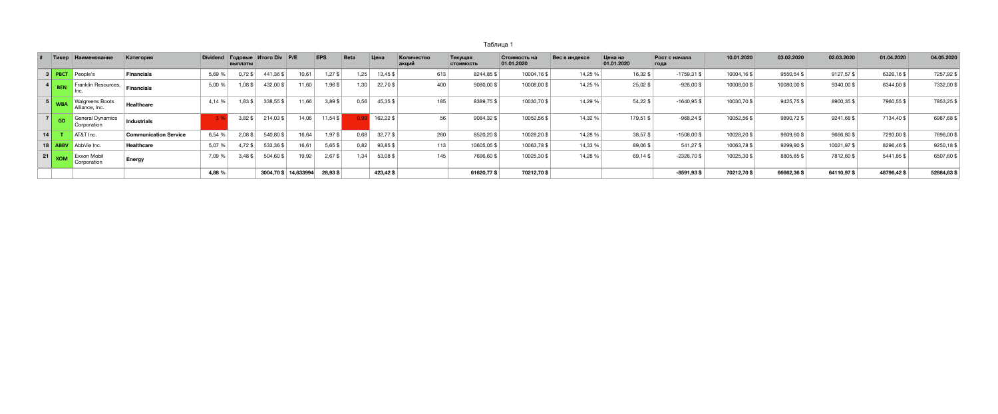## Tаблица 1

| 05.2020     |
|-------------|
| $.57,92$ \$ |
| 32,00\$     |
| 53,25\$     |
| 87,68\$     |
| 96,00\$     |
| $.50,18$ \$ |
| 07,60\$     |
| 84.63.\$    |

|                 | Тикер                                                          | <b>Наименование</b>                      | Категория                    | Dividend | выплаты   | <b>Годовые Итого Div P/E</b> |       | <b>EPS</b> | <b>Beta</b> | Цена     | Количество<br>акций | Текущая<br><b>СТОИМОСТЬ</b> | Стоимость на<br>01.01.2020 | Вес в индексе | Цена на<br>01.01.2020 | Рост с начала<br>года | 10.01.2020  | 03.02.2020 | 02.03.2020 | 01.04.2020 | 04.05.2020  |
|-----------------|----------------------------------------------------------------|------------------------------------------|------------------------------|----------|-----------|------------------------------|-------|------------|-------------|----------|---------------------|-----------------------------|----------------------------|---------------|-----------------------|-----------------------|-------------|------------|------------|------------|-------------|
|                 | $3$ PBCT                                                       | People's                                 | <b>Financials</b>            | 5,69 %   | $0.72$ \$ | 441,36\$                     | 10,61 | 1,27\$     | 1,25        | 13,45 \$ |                     | 613<br>8244,85\$            | 10004,16\$                 | 14,25 %       | 16,32\$               | $-1759,31$ \$         | 10004,16 \$ | 9550,54 \$ | 9127,57\$  | 6326,16\$  | 7257,92 \$  |
|                 |                                                                | ▲ Franklin Resources,                    | <b>Financials</b>            | 5,00 %   | 1,08\$    | 432,00\$                     | 11,60 | 1,96\$     | 1,30        | 22,70\$  |                     | 400<br>9080,00\$            | 10008,00\$                 | 14,25 %       | 25,02\$               | $-928,00$ \$          | 10008,00\$  | 10080,00\$ | 9340,00\$  | 6344,00 \$ | 7332,00 \$  |
|                 | $\begin{array}{c c} 5 & \textbf{WBA} \end{array}$              | <b>Walgreens Boots</b><br>Alliance, Inc. | <b>Healthcare</b>            | 4,14 %   | $,83$ \$  | 338,55 \$                    | 11,66 | $3,89$ \$  | 0,56        | 45,35\$  |                     | 185<br>8389,75\$            | 10030,70\$                 | 14,29 %       | 54,22\$               | $-1640,95$ \$         | 10030,70 \$ | 9425,75 \$ | 8900,35\$  | 7960,55 \$ | 7853,25 \$  |
|                 | $ 7 $ GD                                                       | General Dynamics<br>Corporation          | <b>Industrials</b>           |          | $3,82$ \$ | $214,03$ \$                  | 14,06 | 11,54\$    |             | 162,22\$ |                     | 56<br>9084,32\$             | 10052,56 \$                | 14,32 %       | 179,51 \$             | $-968,24$ \$          | 10052,56 \$ | 9890,72\$  | 9241,68 \$ | 7134,40 \$ | 6987,68 \$  |
| 14 <sub>1</sub> |                                                                | AT&T Inc.                                | <b>Communication Service</b> | 6,54 %   | $2,08$ \$ | 540,80 \$                    | 16,64 | 1,97\$     | 0,68        | 32,77\$  |                     | 260<br>8520,20\$            | 10028,20\$                 | 14,28 %       | 38,57\$               | $-1508,00$ \$         | 10028,20\$  | 9609,60\$  | 9666,80\$  | 7293,00\$  | 7696,00 \$  |
| 18              |                                                                | AbbVie Inc.                              | Healthcare                   | 5,07 %   | 4,72\$    | 533,36\$                     | 16,61 | $5,65$ \$  | 0,82        | 93,85\$  |                     | 113<br>10605,05\$           | 10063,78 \$                | 14,33 %       | 89,06\$               | 541,27\$              | 10063,78 \$ | 9299,90\$  | 10021,97\$ | 8296,46\$  | 9250,18 \$  |
|                 | $\begin{array}{ c c c }\n\hline\n21 & \text{XOM}\n\end{array}$ | <b>Exxon Mobil</b><br>Corporation        | <b>Energy</b>                | 7,09 %   | $3,48$ \$ | 504,60 \$                    | 19,92 | $2,67$ \$  | 1,34        | 53,08\$  |                     | 7696,60 \$<br>145           | 10025,30 \$                | 14,28 %       | 69,14\$               | $-2328,70$ \$         | 10025,30 \$ | 8805,85\$  | 7812,60\$  | 5441,85 \$ | 6507,60 \$  |
|                 |                                                                |                                          |                              | 4,88 %   |           | 3004,70 \$ 14,633994         |       | 28,93 \$   |             | 423,42\$ |                     | 61620,77\$                  | 70212,70\$                 |               |                       | $-8591,93$ \$         | 70212,70\$  | 66662,36\$ | 64110,97\$ | 48796,42\$ | 52884,63 \$ |